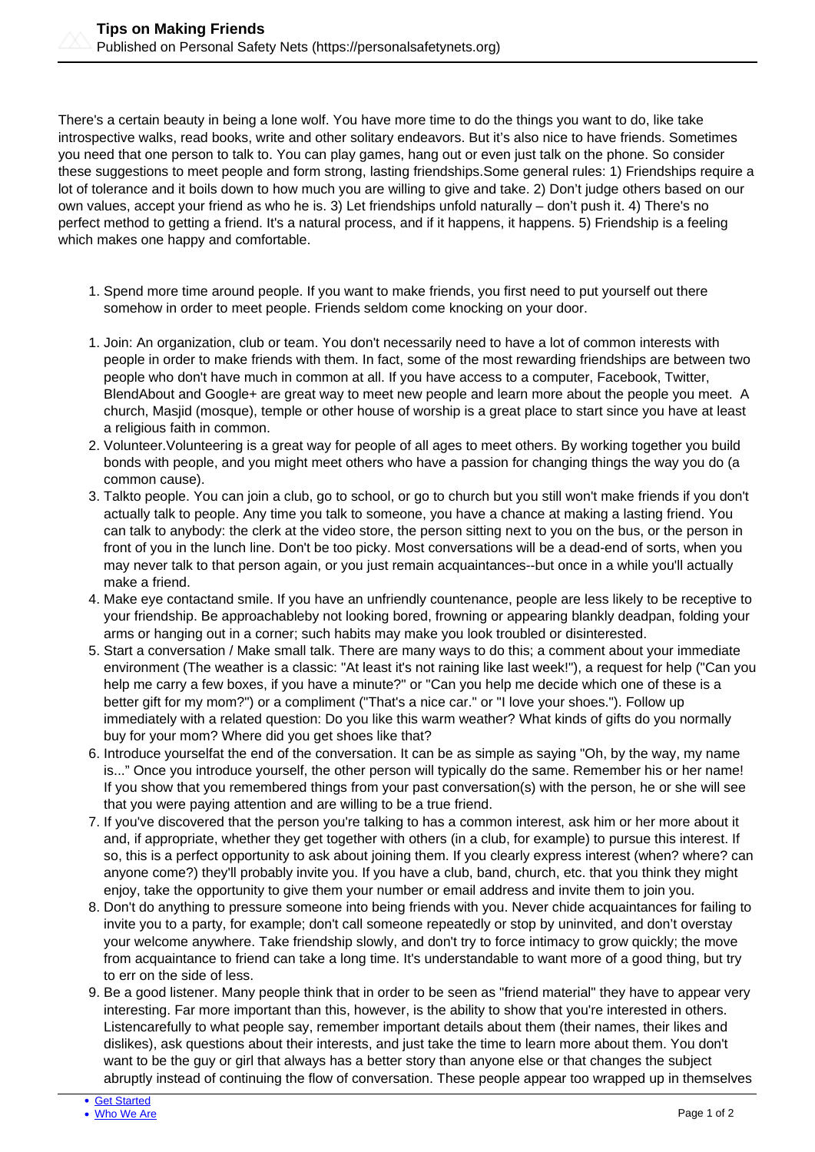There's a certain beauty in being a lone wolf. You have more time to do the things you want to do, like take introspective walks, read books, write and other solitary endeavors. But it's also nice to have friends. Sometimes you need that one person to talk to. You can play games, hang out or even just talk on the phone. So consider these suggestions to meet people and form strong, lasting friendships.Some general rules: 1) Friendships require a lot of tolerance and it boils down to how much you are willing to give and take. 2) Don't judge others based on our own values, accept your friend as who he is. 3) Let friendships unfold naturally – don't push it. 4) There's no perfect method to getting a friend. It's a natural process, and if it happens, it happens. 5) Friendship is a feeling which makes one happy and comfortable.

- 1. Spend more time around people. If you want to make friends, you first need to put yourself out there somehow in order to meet people. Friends seldom come knocking on your door.
- 1. Join: An organization, club or team. You don't necessarily need to have a lot of common interests with people in order to make friends with them. In fact, some of the most rewarding friendships are between two people who don't have much in common at all. If you have access to a computer, Facebook, Twitter, BlendAbout and Google+ are great way to meet new people and learn more about the people you meet. A church, Masjid (mosque), temple or other house of worship is a great place to start since you have at least a religious faith in common.
- 2. Volunteer.Volunteering is a great way for people of all ages to meet others. By working together you build bonds with people, and you might meet others who have a passion for changing things the way you do (a common cause).
- 3. Talkto people. You can join a club, go to school, or go to church but you still won't make friends if you don't actually talk to people. Any time you talk to someone, you have a chance at making a lasting friend. You can talk to anybody: the clerk at the video store, the person sitting next to you on the bus, or the person in front of you in the lunch line. Don't be too picky. Most conversations will be a dead-end of sorts, when you may never talk to that person again, or you just remain acquaintances--but once in a while you'll actually make a friend.
- 4. Make eye contactand smile. If you have an unfriendly countenance, people are less likely to be receptive to your friendship. Be approachableby not looking bored, frowning or appearing blankly deadpan, folding your arms or hanging out in a corner; such habits may make you look troubled or disinterested.
- 5. Start a conversation / Make small talk. There are many ways to do this; a comment about your immediate environment (The weather is a classic: "At least it's not raining like last week!"), a request for help ("Can you help me carry a few boxes, if you have a minute?" or "Can you help me decide which one of these is a better gift for my mom?") or a compliment ("That's a nice car." or "I love your shoes."). Follow up immediately with a related question: Do you like this warm weather? What kinds of gifts do you normally buy for your mom? Where did you get shoes like that?
- 6. Introduce yourselfat the end of the conversation. It can be as simple as saying "Oh, by the way, my name is..." Once you introduce yourself, the other person will typically do the same. Remember his or her name! If you show that you remembered things from your past conversation(s) with the person, he or she will see that you were paying attention and are willing to be a true friend.
- 7. If you've discovered that the person you're talking to has a common interest, ask him or her more about it and, if appropriate, whether they get together with others (in a club, for example) to pursue this interest. If so, this is a perfect opportunity to ask about joining them. If you clearly express interest (when? where? can anyone come?) they'll probably invite you. If you have a club, band, church, etc. that you think they might enjoy, take the opportunity to give them your number or email address and invite them to join you.
- 8. Don't do anything to pressure someone into being friends with you. Never chide acquaintances for failing to invite you to a party, for example; don't call someone repeatedly or stop by uninvited, and don't overstay your welcome anywhere. Take friendship slowly, and don't try to force intimacy to grow quickly; the move from acquaintance to friend can take a long time. It's understandable to want more of a good thing, but try to err on the side of less.
- 9. Be a good listener. Many people think that in order to be seen as "friend material" they have to appear very interesting. Far more important than this, however, is the ability to show that you're interested in others. Listencarefully to what people say, remember important details about them (their names, their likes and dislikes), ask questions about their interests, and just take the time to learn more about them. You don't want to be the guy or girl that always has a better story than anyone else or that changes the subject abruptly instead of continuing the flow of conversation. These people appear too wrapped up in themselves